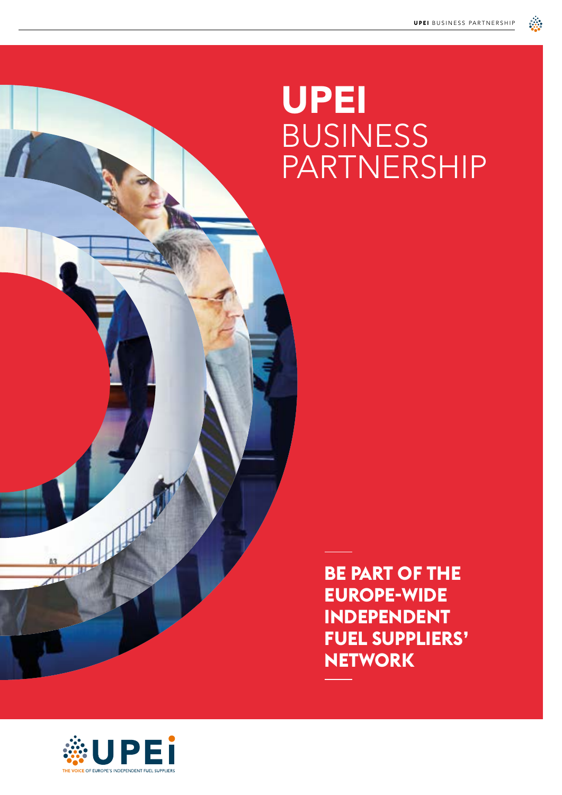# UPEI BUSINESS PARTNERSHIP



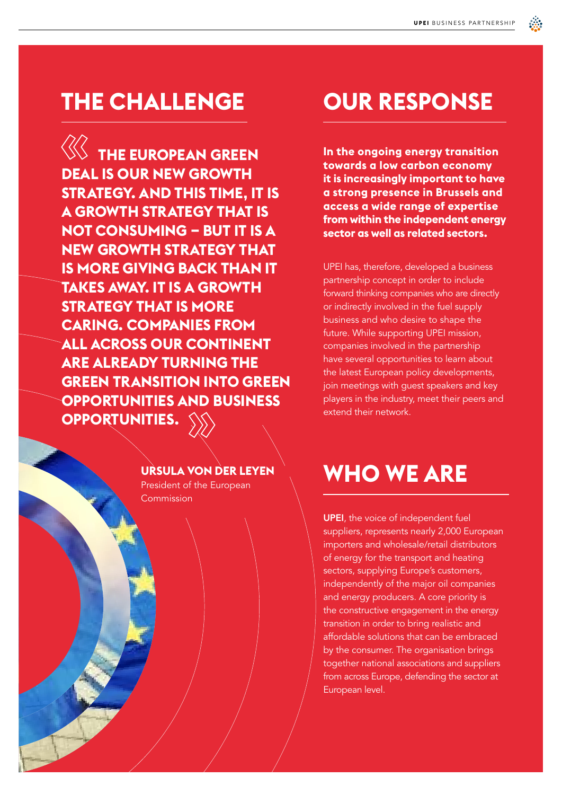### **THE CHALLENGE**

**WE THE EUROPEAN GREEN DEAL IS OUR NEW GROWTH STRATEGY. AND THIS TIME, IT IS A GROWTH STRATEGY THAT IS NOT CONSUMING – BUT IT IS A NEW GROWTH STRATEGY THAT IS MORE GIVING BACK THAN IT TAKES AWAY. IT IS A GROWTH STRATEGY THAT IS MORE CARING. COMPANIES FROM ALL ACROSS OUR CONTINENT ARE ALREADY TURNING THE GREEN TRANSITION INTO GREEN OPPORTUNITIES AND BUSINESS OPPORTUNITIES.**

# **OUR RESPONSE**

**In the ongoing energy transition towards a low carbon economy it is increasingly important to have a strong presence in Brussels and access a wide range of expertise from within the independent energy sector as well as related sectors.** 

UPEI has, therefore, developed a business partnership concept in order to include forward thinking companies who are directly or indirectly involved in the fuel supply business and who desire to shape the future. While supporting UPEI mission, companies involved in the partnership have several opportunities to learn about the latest European policy developments, join meetings with guest speakers and key players in the industry, meet their peers and extend their network.

#### **URSULA VON DER LEYEN**

President of the European **Commission** 

# **WHO WE ARE**

UPEI, the voice of independent fuel suppliers, represents nearly 2,000 European importers and wholesale/retail distributors of energy for the transport and heating sectors, supplying Europe's customers, independently of the major oil companies and energy producers. A core priority is the constructive engagement in the energy transition in order to bring realistic and affordable solutions that can be embraced by the consumer. The organisation brings together national associations and suppliers from across Europe, defending the sector at European level.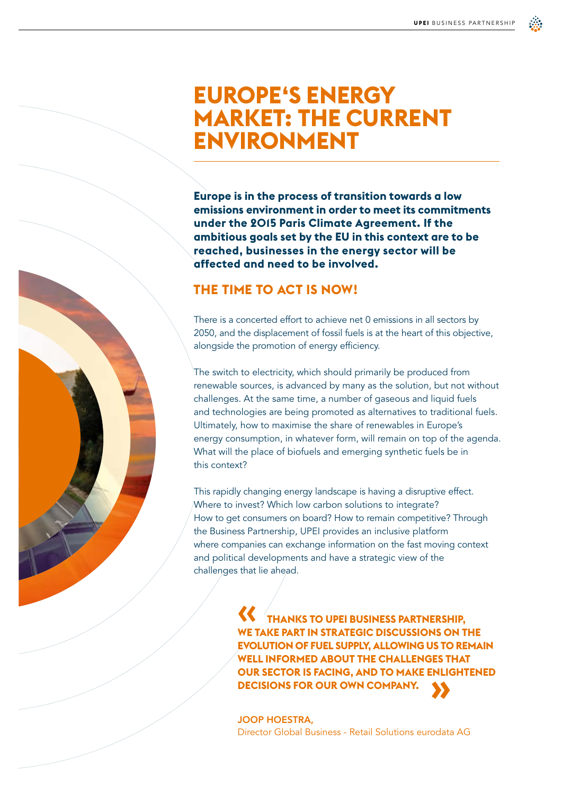## **EUROPE'S ENERGY MARKET: THE CURRENT ENVIRONMENT**

**Europe is in the process of transition towards a low emissions environment in order to meet its commitments under the 2015 Paris Climate Agreement. If the ambitious goals set by the EU in this context are to be reached, businesses in the energy sector will be affected and need to be involved.** 

#### **THE TIME TO ACT IS NOW!**

There is a concerted effort to achieve net 0 emissions in all sectors by 2050, and the displacement of fossil fuels is at the heart of this objective, alongside the promotion of energy efficiency.

The switch to electricity, which should primarily be produced from renewable sources, is advanced by many as the solution, but not without challenges. At the same time, a number of gaseous and liquid fuels and technologies are being promoted as alternatives to traditional fuels. Ultimately, how to maximise the share of renewables in Europe's energy consumption, in whatever form, will remain on top of the agenda. What will the place of biofuels and emerging synthetic fuels be in this context?

This rapidly changing energy landscape is having a disruptive effect. Where to invest? Which low carbon solutions to integrate? How to get consumers on board? How to remain competitive? Through the Business Partnership, UPEI provides an inclusive platform where companies can exchange information on the fast moving context and political developments and have a strategic view of the challenges that lie ahead.

> **THANKS TO UPEI BUSINESS PARTNERSHIP, WE TAKE PART IN STRATEGIC DISCUSSIONS ON THE EVOLUTION OF FUEL SUPPLY, ALLOWING US TO REMAIN WELL INFORMED ABOUT THE CHALLENGES THAT OUR SECTOR IS FACING, AND TO MAKE ENLIGHTENED DECISIONS FOR OUR OWN COMPANY.**

JOOP HOESTRA, Director Global Business - Retail Solutions eurodata AG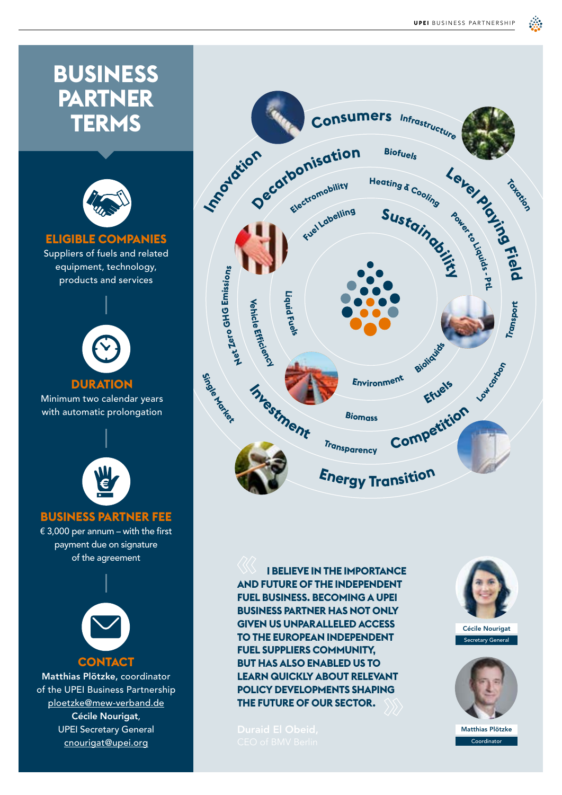₫ŵ,



**I BELIEVE IN THE IMPORTANCE AND FUTURE OF THE INDEPENDENT FUEL BUSINESS. BECOMING A UPEI BUSINESS PARTNER HAS NOT ONLY GIVEN US UNPARALLELED ACCESS TO THE EUROPEAN INDEPENDENT FUEL SUPPLIERS COMMUNITY, BUT HAS ALSO ENABLED US TO LEARN QUICKLY ABOUT RELEVANT POLICY DEVELOPMENTS SHAPING THE FUTURE OF OUR SECTOR.**

payment due on signature of the agreement

**CONTACT** Matthias Plötzke, coordinator of the UPEI Business Partnership ploetzke@mew-verband.de Cécile Nourigat, UPEI Secretary General cnourigat@upei.org



Secretary General Cécile Nourigat



Coordinator Matthias Plötzke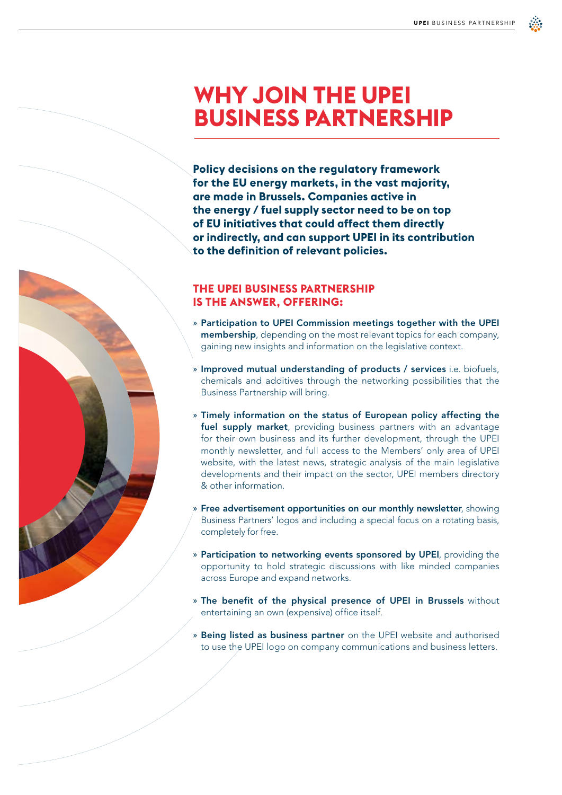# **WHY JOIN THE UPEI BUSINESS PARTNERSHIP**

**Policy decisions on the regulatory framework for the EU energy markets, in the vast majority, are made in Brussels. Companies active in the energy / fuel supply sector need to be on top of EU initiatives that could affect them directly or indirectly, and can support UPEI in its contribution to the definition of relevant policies.**

#### **THE UPEI BUSINESS PARTNERSHIP IS THE ANSWER, OFFERING:**

- » Participation to UPEI Commission meetings together with the UPEI membership, depending on the most relevant topics for each company, gaining new insights and information on the legislative context.
- » Improved mutual understanding of products / services i.e. biofuels, chemicals and additives through the networking possibilities that the Business Partnership will bring.
- » Timely information on the status of European policy affecting the fuel supply market, providing business partners with an advantage for their own business and its further development, through the UPEI monthly newsletter, and full access to the Members' only area of UPEI website, with the latest news, strategic analysis of the main legislative developments and their impact on the sector, UPEI members directory & other information.
- Free advertisement opportunities on our monthly newsletter, showing Business Partners' logos and including a special focus on a rotating basis, completely for free.
- » Participation to networking events sponsored by UPEI, providing the opportunity to hold strategic discussions with like minded companies across Europe and expand networks.
- » The benefit of the physical presence of UPEI in Brussels without entertaining an own (expensive) office itself.
- » Being listed as business partner on the UPEI website and authorised to use the UPEI logo on company communications and business letters.